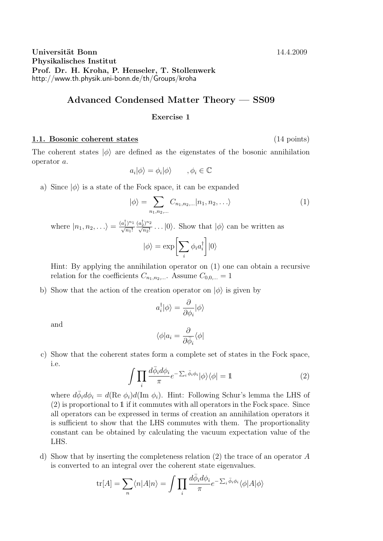Universität Bonn 14.4.2009 Physikalisches Institut Prof. Dr. H. Kroha, P. Henseler, T. Stollenwerk http://www.th.physik.uni-bonn.de/th/Groups/kroha

## Advanced Condensed Matter Theory — SS09

## Exercise 1

## 1.1. Bosonic coherent states (14 points)

The coherent states  $|\phi\rangle$  are defined as the eigenstates of the bosonic annihilation operator a.

$$
a_i|\phi\rangle = \phi_i|\phi\rangle \qquad , \phi_i \in \mathbb{C}
$$

a) Since  $|\phi\rangle$  is a state of the Fock space, it can be expanded

$$
|\phi\rangle = \sum_{n_1, n_2, \dots} C_{n_1, n_2, \dots} |n_1, n_2, \dots\rangle
$$
 (1)

where  $|n_1, n_2, \ldots \rangle = \frac{(a_1^{\dagger})^{n_1}}{\sqrt{n_1!}}$  $\frac{(a_2^{\dagger})^{n_2}}{\sqrt{n_2!}} \dots |0\rangle$ . Show that  $|\phi\rangle$  can be written as

$$
|\phi\rangle = \exp\biggl[\sum_i \phi_i a_i^\dagger\biggr]|0\rangle
$$

Hint: By applying the annihilation operator on (1) one can obtain a recursive relation for the coefficients  $C_{n_1,n_2,...}$ . Assume  $C_{0,0,...} = 1$ 

b) Show that the action of the creation operator on  $|\phi\rangle$  is given by

$$
a_i^{\dagger}|\phi\rangle = \frac{\partial}{\partial \phi_i}|\phi\rangle
$$

and

$$
\langle \phi | a_i = \frac{\partial}{\partial \bar{\phi}_i} \langle \phi |
$$

c) Show that the coherent states form a complete set of states in the Fock space, i.e.

$$
\int \prod_{i} \frac{d\bar{\phi}_{i} d\phi_{i}}{\pi} e^{-\sum_{i} \bar{\phi}_{i} \phi_{i}} |\phi\rangle \langle \phi| = \mathbb{1}
$$
\n(2)

where  $d\bar{\phi}_i d\phi_i = d(\text{Re }\phi_i)d(\text{Im }\phi_i)$ . Hint: Following Schur's lemma the LHS of (2) is proportional to 1 if it commutes with all operators in the Fock space. Since all operators can be expressed in terms of creation an annihilation operators it is sufficient to show that the LHS commutes with them. The proportionality constant can be obtained by calculating the vacuum expectation value of the LHS.

d) Show that by inserting the completeness relation (2) the trace of an operator A is converted to an integral over the coherent state eigenvalues.

$$
\text{tr}[A] = \sum_{n} \langle n | A | n \rangle = \int \prod_{i} \frac{d \bar{\phi}_{i} d \phi_{i}}{\pi} e^{-\sum_{i} \bar{\phi}_{i} \phi_{i}} \langle \phi | A | \phi \rangle
$$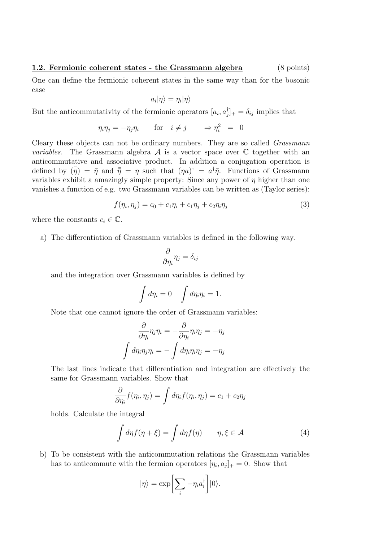## 1.2. Fermionic coherent states - the Grassmann algebra (8 points)

One can define the fermionic coherent states in the same way than for the bosonic case

$$
a_i|\eta\rangle=\eta_i|\eta\rangle
$$

But the anticommutativity of the fermionic operators  $[a_i, a]$  $[\bar{y}]_+ = \delta_{ij}$  implies that

$$
\eta_i \eta_j = -\eta_j \eta_i \qquad \text{for} \quad i \neq j \qquad \Rightarrow \eta_i^2 = 0
$$

Cleary these objects can not be ordinary numbers. They are so called Grassmann *variables*. The Grassmann algebra  $A$  is a vector space over  $C$  together with an anticommutative and associative product. In addition a conjugation operation is defined by  $(\bar{\eta}) = \bar{\eta}$  and  $\bar{\bar{\eta}} = \eta$  such that  $(\eta a)^{\dagger} = a^{\dagger} \bar{\eta}$ . Functions of Grassmann variables exhibit a amazingly simple property: Since any power of  $\eta$  higher than one vanishes a function of e.g. two Grassmann variables can be written as (Taylor series):

$$
f(\eta_i, \eta_j) = c_0 + c_1 \eta_i + c_1 \eta_j + c_2 \eta_i \eta_j \tag{3}
$$

where the constants  $c_i \in \mathbb{C}$ .

a) The differentiation of Grassmann variables is defined in the following way.

$$
\frac{\partial}{\partial \eta_i} \eta_j = \delta_{ij}
$$

and the integration over Grassmann variables is defined by

$$
\int d\eta_i = 0 \quad \int d\eta_i \eta_i = 1.
$$

Note that one cannot ignore the order of Grassmann variables:

$$
\frac{\partial}{\partial \eta_i} \eta_j \eta_i = -\frac{\partial}{\partial \eta_i} \eta_i \eta_j = -\eta_j
$$

$$
\int d\eta_i \eta_j \eta_i = -\int d\eta_i \eta_i \eta_j = -\eta_j
$$

The last lines indicate that differentiation and integration are effectively the same for Grassmann variables. Show that

$$
\frac{\partial}{\partial \eta_i} f(\eta_i, \eta_j) = \int d\eta_i f(\eta_i, \eta_j) = c_1 + c_2 \eta_j
$$

holds. Calculate the integral

$$
\int d\eta f(\eta + \xi) = \int d\eta f(\eta) \qquad \eta, \xi \in \mathcal{A}
$$
 (4)

b) To be consistent with the anticommutation relations the Grassmann variables has to anticommute with the fermion operators  $[\eta_i, a_j]_+ = 0$ . Show that

$$
|\eta\rangle = \exp\biggl[\sum_i -\eta_i a_i^\dagger\biggr]|0\rangle.
$$